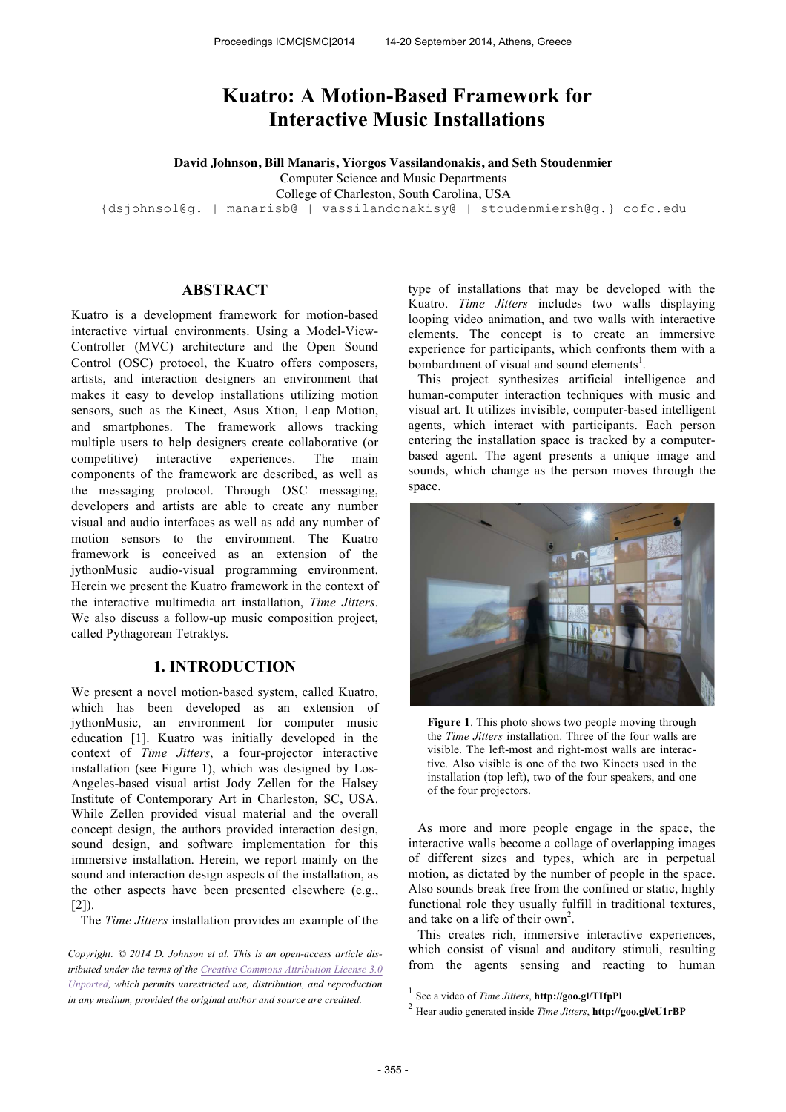# **Kuatro: A Motion-Based Framework for Interactive Music Installations**

**David Johnson, Bill Manaris, Yiorgos Vassilandonakis, and Seth Stoudenmier**

Computer Science and Music Departments

College of Charleston, South Carolina, USA

{dsjohnso1@g. | manarisb@ | vassilandonakisy@ | stoudenmiersh@g.} cofc.edu

## **ABSTRACT**

Kuatro is a development framework for motion-based interactive virtual environments. Using a Model-View-Controller (MVC) architecture and the Open Sound Control (OSC) protocol, the Kuatro offers composers, artists, and interaction designers an environment that makes it easy to develop installations utilizing motion sensors, such as the Kinect, Asus Xtion, Leap Motion, and smartphones. The framework allows tracking multiple users to help designers create collaborative (or competitive) interactive experiences. The main components of the framework are described, as well as the messaging protocol. Through OSC messaging, developers and artists are able to create any number visual and audio interfaces as well as add any number of motion sensors to the environment. The Kuatro framework is conceived as an extension of the jythonMusic audio-visual programming environment. Herein we present the Kuatro framework in the context of the interactive multimedia art installation, *Time Jitters*. We also discuss a follow-up music composition project, called Pythagorean Tetraktys.

# **1. INTRODUCTION**

We present a novel motion-based system, called Kuatro, which has been developed as an extension of jythonMusic, an environment for computer music education [1]. Kuatro was initially developed in the context of *Time Jitters*, a four-projector interactive installation (see Figure 1), which was designed by Los-Angeles-based visual artist Jody Zellen for the Halsey Institute of Contemporary Art in Charleston, SC, USA. While Zellen provided visual material and the overall concept design, the authors provided interaction design, sound design, and software implementation for this immersive installation. Herein, we report mainly on the sound and interaction design aspects of the installation, as the other aspects have been presented elsewhere (e.g.,  $[2]$ 

The *Time Jitters* installation provides an example of the

*Copyright: © 2014 D. Johnson et al. This is an open-access article distributed under the terms of the Creative Commons Attribution License 3.0 Unported, which permits unrestricted use, distribution, and reproduction in any medium, provided the original author and source are credited.*

type of installations that may be developed with the Kuatro. *Time Jitters* includes two walls displaying looping video animation, and two walls with interactive elements. The concept is to create an immersive experience for participants, which confronts them with a bombardment of visual and sound elements<sup>1</sup>.

This project synthesizes artificial intelligence and human-computer interaction techniques with music and visual art. It utilizes invisible, computer-based intelligent agents, which interact with participants. Each person entering the installation space is tracked by a computerbased agent. The agent presents a unique image and sounds, which change as the person moves through the space.



**Figure 1**. This photo shows two people moving through the *Time Jitters* installation. Three of the four walls are visible. The left-most and right-most walls are interactive. Also visible is one of the two Kinects used in the installation (top left), two of the four speakers, and one of the four projectors.

As more and more people engage in the space, the interactive walls become a collage of overlapping images of different sizes and types, which are in perpetual motion, as dictated by the number of people in the space. Also sounds break free from the confined or static, highly functional role they usually fulfill in traditional textures, and take on a life of their own<sup>2</sup>.

This creates rich, immersive interactive experiences, which consist of visual and auditory stimuli, resulting from the agents sensing and reacting to human

 1 See a video of *Time Jitters*, **http://goo.gl/TIfpPl**

<sup>2</sup> Hear audio generated inside *Time Jitters*, **http://goo.gl/eU1rBP**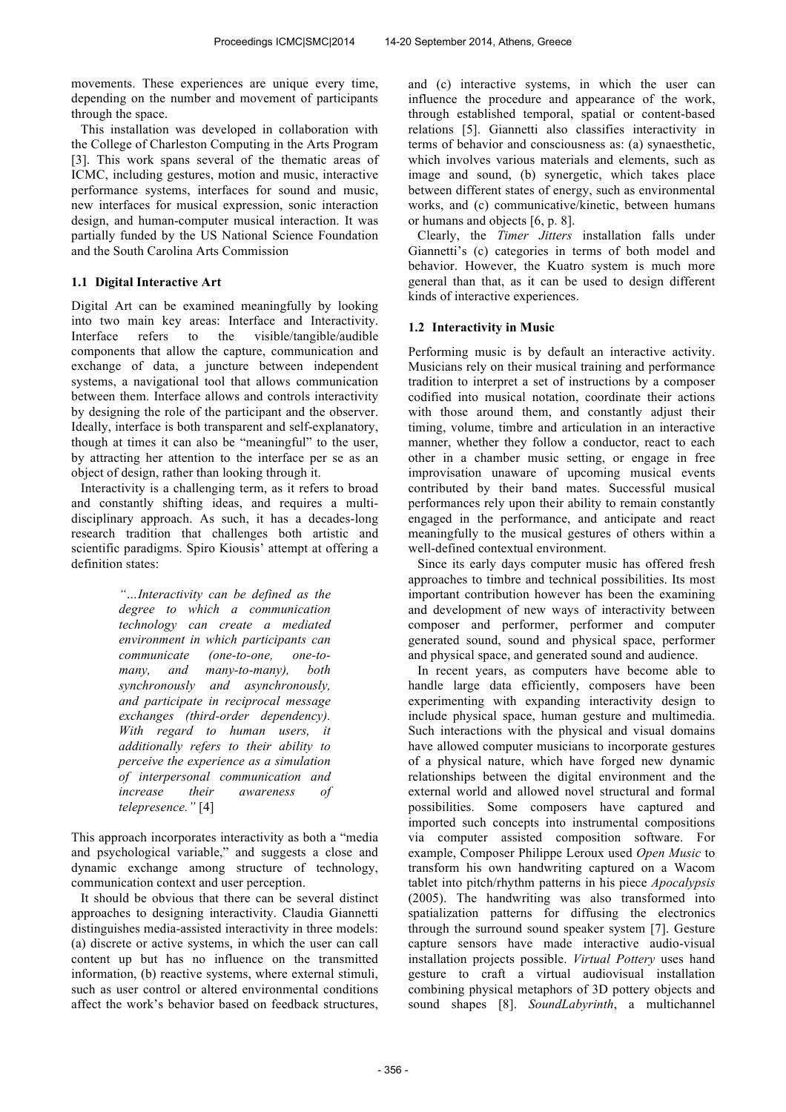movements. These experiences are unique every time, depending on the number and movement of participants through the space.

This installation was developed in collaboration with the College of Charleston Computing in the Arts Program [3]. This work spans several of the thematic areas of ICMC, including gestures, motion and music, interactive performance systems, interfaces for sound and music, new interfaces for musical expression, sonic interaction design, and human-computer musical interaction. It was partially funded by the US National Science Foundation and the South Carolina Arts Commission

# **1.1 Digital Interactive Art**

Digital Art can be examined meaningfully by looking into two main key areas: Interface and Interactivity. Interface refers to the visible/tangible/audible components that allow the capture, communication and exchange of data, a juncture between independent systems, a navigational tool that allows communication between them. Interface allows and controls interactivity by designing the role of the participant and the observer. Ideally, interface is both transparent and self-explanatory, though at times it can also be "meaningful" to the user, by attracting her attention to the interface per se as an object of design, rather than looking through it.

Interactivity is a challenging term, as it refers to broad and constantly shifting ideas, and requires a multidisciplinary approach. As such, it has a decades-long research tradition that challenges both artistic and scientific paradigms. Spiro Kiousis' attempt at offering a definition states:

> *"…Interactivity can be defined as the degree to which a communication technology can create a mediated environment in which participants can communicate (one-to-one, one-tomany, and many-to-many), both synchronously and asynchronously, and participate in reciprocal message exchanges (third-order dependency). With regard to human users, it additionally refers to their ability to perceive the experience as a simulation of interpersonal communication and increase their awareness of telepresence."* [4]

This approach incorporates interactivity as both a "media and psychological variable," and suggests a close and dynamic exchange among structure of technology, communication context and user perception.

It should be obvious that there can be several distinct approaches to designing interactivity. Claudia Giannetti distinguishes media-assisted interactivity in three models: (a) discrete or active systems, in which the user can call content up but has no influence on the transmitted information, (b) reactive systems, where external stimuli, such as user control or altered environmental conditions affect the work's behavior based on feedback structures,

and (c) interactive systems, in which the user can influence the procedure and appearance of the work, through established temporal, spatial or content-based relations [5]. Giannetti also classifies interactivity in terms of behavior and consciousness as: (a) synaesthetic, which involves various materials and elements, such as image and sound, (b) synergetic, which takes place between different states of energy, such as environmental works, and (c) communicative/kinetic, between humans or humans and objects [6, p. 8].

Clearly, the *Timer Jitters* installation falls under Giannetti's (c) categories in terms of both model and behavior. However, the Kuatro system is much more general than that, as it can be used to design different kinds of interactive experiences.

# **1.2 Interactivity in Music**

Performing music is by default an interactive activity. Musicians rely on their musical training and performance tradition to interpret a set of instructions by a composer codified into musical notation, coordinate their actions with those around them, and constantly adjust their timing, volume, timbre and articulation in an interactive manner, whether they follow a conductor, react to each other in a chamber music setting, or engage in free improvisation unaware of upcoming musical events contributed by their band mates. Successful musical performances rely upon their ability to remain constantly engaged in the performance, and anticipate and react meaningfully to the musical gestures of others within a well-defined contextual environment.

Since its early days computer music has offered fresh approaches to timbre and technical possibilities. Its most important contribution however has been the examining and development of new ways of interactivity between composer and performer, performer and computer generated sound, sound and physical space, performer and physical space, and generated sound and audience.

In recent years, as computers have become able to handle large data efficiently, composers have been experimenting with expanding interactivity design to include physical space, human gesture and multimedia. Such interactions with the physical and visual domains have allowed computer musicians to incorporate gestures of a physical nature, which have forged new dynamic relationships between the digital environment and the external world and allowed novel structural and formal possibilities. Some composers have captured and imported such concepts into instrumental compositions via computer assisted composition software. For example, Composer Philippe Leroux used *Open Music* to transform his own handwriting captured on a Wacom tablet into pitch/rhythm patterns in his piece *Apocalypsis*  (2005). The handwriting was also transformed into spatialization patterns for diffusing the electronics through the surround sound speaker system [7]. Gesture capture sensors have made interactive audio-visual installation projects possible. *Virtual Pottery* uses hand gesture to craft a virtual audiovisual installation combining physical metaphors of 3D pottery objects and sound shapes [8]. *SoundLabyrinth*, a multichannel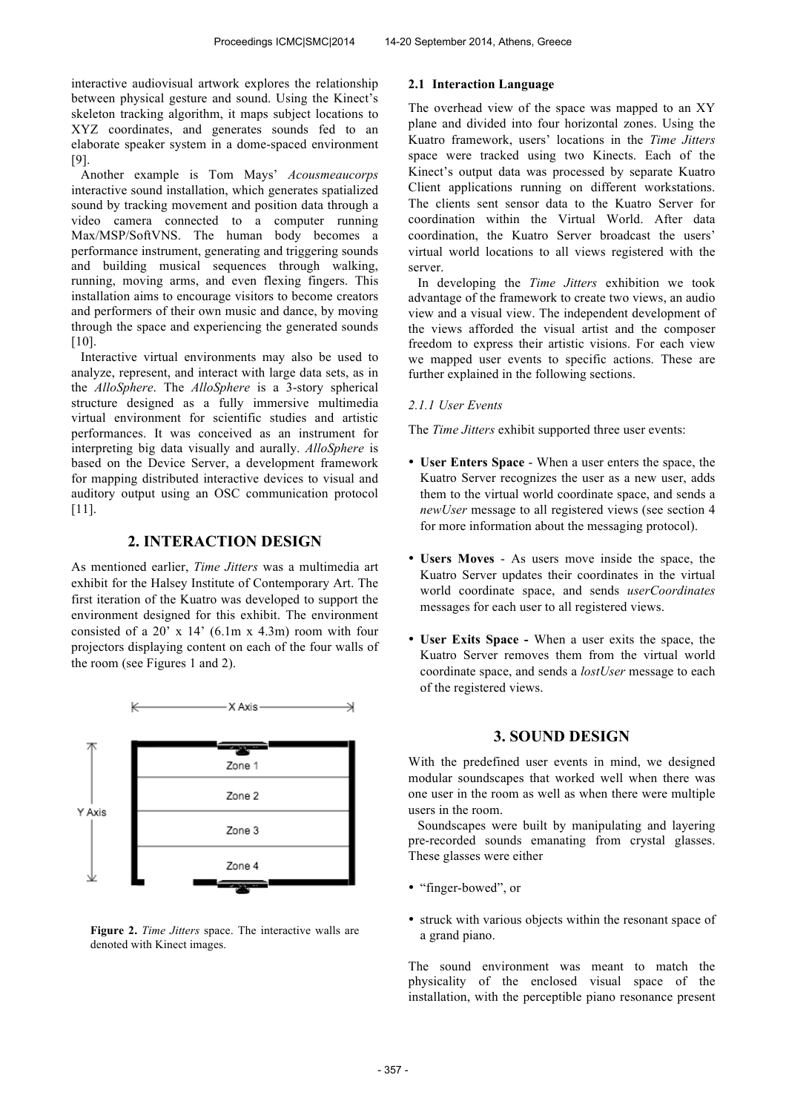interactive audiovisual artwork explores the relationship between physical gesture and sound. Using the Kinect's skeleton tracking algorithm, it maps subject locations to XYZ coordinates, and generates sounds fed to an elaborate speaker system in a dome-spaced environment [9].

Another example is Tom Mays' *Acousmeaucorps* interactive sound installation, which generates spatialized sound by tracking movement and position data through a video camera connected to a computer running Max/MSP/SoftVNS. The human body becomes a performance instrument, generating and triggering sounds and building musical sequences through walking, running, moving arms, and even flexing fingers. This installation aims to encourage visitors to become creators and performers of their own music and dance, by moving through the space and experiencing the generated sounds [10].

Interactive virtual environments may also be used to analyze, represent, and interact with large data sets, as in the *AlloSphere*. The *AlloSphere* is a 3-story spherical structure designed as a fully immersive multimedia virtual environment for scientific studies and artistic performances. It was conceived as an instrument for interpreting big data visually and aurally. *AlloSphere* is based on the Device Server, a development framework for mapping distributed interactive devices to visual and auditory output using an OSC communication protocol [11].

# **2. INTERACTION DESIGN**

As mentioned earlier, *Time Jitters* was a multimedia art exhibit for the Halsey Institute of Contemporary Art. The first iteration of the Kuatro was developed to support the environment designed for this exhibit. The environment consisted of a  $20'$  x  $14'$  (6.1m x 4.3m) room with four projectors displaying content on each of the four walls of the room (see Figures 1 and 2).



**Figure 2.** *Time Jitters* space. The interactive walls are denoted with Kinect images.

#### **2.1 Interaction Language**

The overhead view of the space was mapped to an XY plane and divided into four horizontal zones. Using the Kuatro framework, users' locations in the *Time Jitters* space were tracked using two Kinects. Each of the Kinect's output data was processed by separate Kuatro Client applications running on different workstations. The clients sent sensor data to the Kuatro Server for coordination within the Virtual World. After data coordination, the Kuatro Server broadcast the users' virtual world locations to all views registered with the server.

In developing the *Time Jitters* exhibition we took advantage of the framework to create two views, an audio view and a visual view. The independent development of the views afforded the visual artist and the composer freedom to express their artistic visions. For each view we mapped user events to specific actions. These are further explained in the following sections.

#### *2.1.1 User Events*

The *Time Jitters* exhibit supported three user events:

- **User Enters Space** When a user enters the space, the Kuatro Server recognizes the user as a new user, adds them to the virtual world coordinate space, and sends a *newUser* message to all registered views (see section 4 for more information about the messaging protocol).
- **Users Moves** As users move inside the space, the Kuatro Server updates their coordinates in the virtual world coordinate space, and sends *userCoordinates* messages for each user to all registered views.
- **User Exits Space** When a user exits the space, the Kuatro Server removes them from the virtual world coordinate space, and sends a *lostUser* message to each of the registered views.

# **3. SOUND DESIGN**

With the predefined user events in mind, we designed modular soundscapes that worked well when there was one user in the room as well as when there were multiple users in the room.

Soundscapes were built by manipulating and layering pre-recorded sounds emanating from crystal glasses. These glasses were either

- "finger-bowed", or
- struck with various objects within the resonant space of a grand piano.

The sound environment was meant to match the physicality of the enclosed visual space of the installation, with the perceptible piano resonance present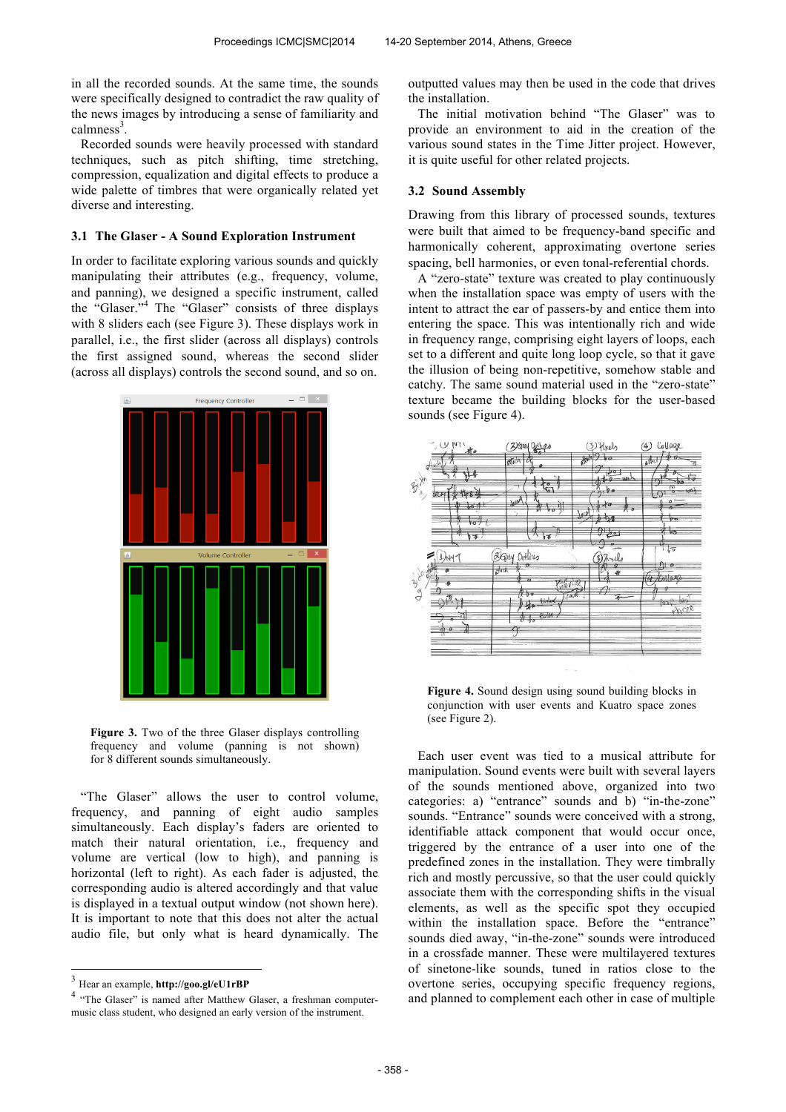in all the recorded sounds. At the same time, the sounds were specifically designed to contradict the raw quality of the news images by introducing a sense of familiarity and calmness<sup>3</sup>.

Recorded sounds were heavily processed with standard techniques, such as pitch shifting, time stretching, compression, equalization and digital effects to produce a wide palette of timbres that were organically related yet diverse and interesting.

#### **3.1 The Glaser - A Sound Exploration Instrument**

In order to facilitate exploring various sounds and quickly manipulating their attributes (e.g., frequency, volume, and panning), we designed a specific instrument, called the "Glaser."<sup>4</sup> The "Glaser" consists of three displays with 8 sliders each (see Figure 3). These displays work in parallel, i.e., the first slider (across all displays) controls the first assigned sound, whereas the second slider (across all displays) controls the second sound, and so on.



**Figure 3.** Two of the three Glaser displays controlling frequency and volume (panning is not shown) for 8 different sounds simultaneously.

"The Glaser" allows the user to control volume, frequency, and panning of eight audio samples simultaneously. Each display's faders are oriented to match their natural orientation, i.e., frequency and volume are vertical (low to high), and panning is horizontal (left to right). As each fader is adjusted, the corresponding audio is altered accordingly and that value is displayed in a textual output window (not shown here). It is important to note that this does not alter the actual audio file, but only what is heard dynamically. The outputted values may then be used in the code that drives the installation.

The initial motivation behind "The Glaser" was to provide an environment to aid in the creation of the various sound states in the Time Jitter project. However, it is quite useful for other related projects.

#### **3.2 Sound Assembly**

Drawing from this library of processed sounds, textures were built that aimed to be frequency-band specific and harmonically coherent, approximating overtone series spacing, bell harmonies, or even tonal-referential chords.

A "zero-state" texture was created to play continuously when the installation space was empty of users with the intent to attract the ear of passers-by and entice them into entering the space. This was intentionally rich and wide in frequency range, comprising eight layers of loops, each set to a different and quite long loop cycle, so that it gave the illusion of being non-repetitive, somehow stable and catchy. The same sound material used in the "zero-state" texture became the building blocks for the user-based sounds (see Figure 4).



**Figure 4.** Sound design using sound building blocks in conjunction with user events and Kuatro space zones (see Figure 2).

Each user event was tied to a musical attribute for manipulation. Sound events were built with several layers of the sounds mentioned above, organized into two categories: a) "entrance" sounds and b) "in-the-zone" sounds. "Entrance" sounds were conceived with a strong, identifiable attack component that would occur once, triggered by the entrance of a user into one of the predefined zones in the installation. They were timbrally rich and mostly percussive, so that the user could quickly associate them with the corresponding shifts in the visual elements, as well as the specific spot they occupied within the installation space. Before the "entrance" sounds died away, "in-the-zone" sounds were introduced in a crossfade manner. These were multilayered textures of sinetone-like sounds, tuned in ratios close to the overtone series, occupying specific frequency regions, and planned to complement each other in case of multiple

 3 Hear an example, **http://goo.gl/eU1rBP**

<sup>&</sup>lt;sup>4</sup> "The Glaser" is named after Matthew Glaser, a freshman computermusic class student, who designed an early version of the instrument.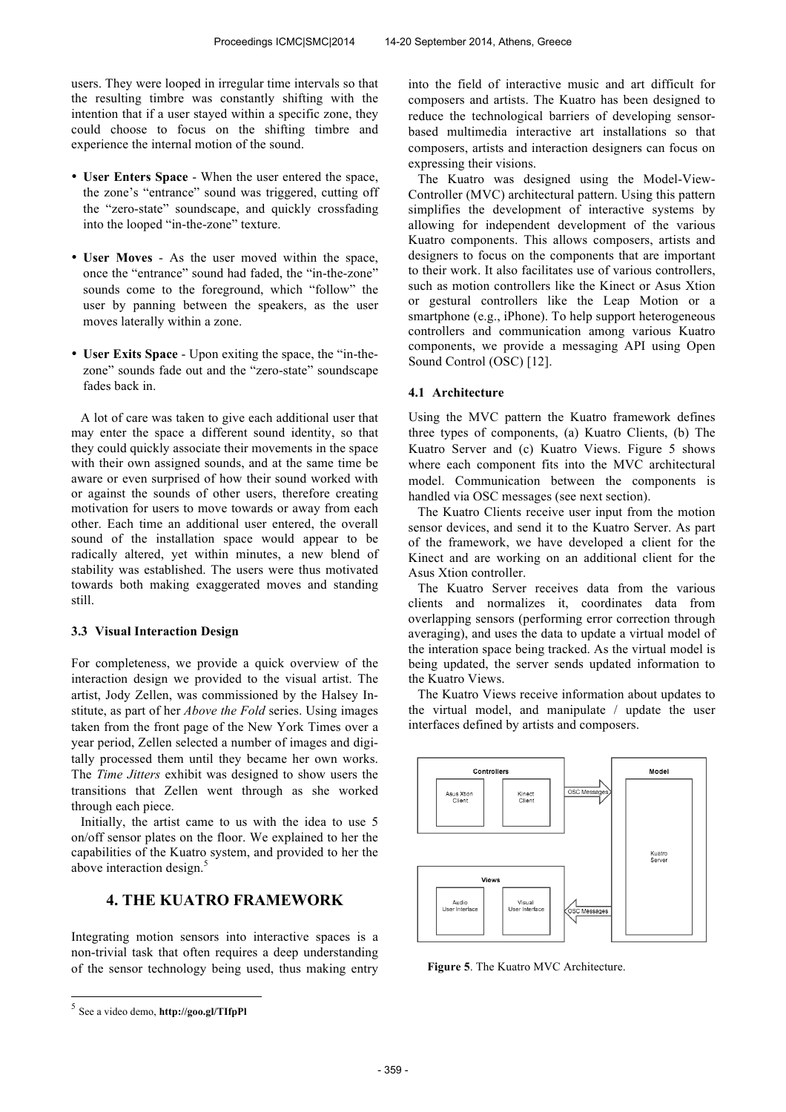users. They were looped in irregular time intervals so that the resulting timbre was constantly shifting with the intention that if a user stayed within a specific zone, they could choose to focus on the shifting timbre and experience the internal motion of the sound.

- **User Enters Space**  When the user entered the space, the zone's "entrance" sound was triggered, cutting off the "zero-state" soundscape, and quickly crossfading into the looped "in-the-zone" texture.
- **User Moves**  As the user moved within the space, once the "entrance" sound had faded, the "in-the-zone" sounds come to the foreground, which "follow" the user by panning between the speakers, as the user moves laterally within a zone.
- **User Exits Space**  Upon exiting the space, the "in-thezone" sounds fade out and the "zero-state" soundscape fades back in.

A lot of care was taken to give each additional user that may enter the space a different sound identity, so that they could quickly associate their movements in the space with their own assigned sounds, and at the same time be aware or even surprised of how their sound worked with or against the sounds of other users, therefore creating motivation for users to move towards or away from each other. Each time an additional user entered, the overall sound of the installation space would appear to be radically altered, yet within minutes, a new blend of stability was established. The users were thus motivated towards both making exaggerated moves and standing still.

#### **3.3 Visual Interaction Design**

For completeness, we provide a quick overview of the interaction design we provided to the visual artist. The artist, Jody Zellen, was commissioned by the Halsey Institute, as part of her *Above the Fold* series. Using images taken from the front page of the New York Times over a year period, Zellen selected a number of images and digitally processed them until they became her own works. The *Time Jitters* exhibit was designed to show users the transitions that Zellen went through as she worked through each piece.

Initially, the artist came to us with the idea to use 5 on/off sensor plates on the floor. We explained to her the capabilities of the Kuatro system, and provided to her the above interaction design.<sup>5</sup>

# **4. THE KUATRO FRAMEWORK**

Integrating motion sensors into interactive spaces is a non-trivial task that often requires a deep understanding of the sensor technology being used, thus making entry into the field of interactive music and art difficult for composers and artists. The Kuatro has been designed to reduce the technological barriers of developing sensorbased multimedia interactive art installations so that composers, artists and interaction designers can focus on expressing their visions.

The Kuatro was designed using the Model-View-Controller (MVC) architectural pattern. Using this pattern simplifies the development of interactive systems by allowing for independent development of the various Kuatro components. This allows composers, artists and designers to focus on the components that are important to their work. It also facilitates use of various controllers, such as motion controllers like the Kinect or Asus Xtion or gestural controllers like the Leap Motion or a smartphone (e.g., iPhone). To help support heterogeneous controllers and communication among various Kuatro components, we provide a messaging API using Open Sound Control (OSC) [12].

#### **4.1 Architecture**

Using the MVC pattern the Kuatro framework defines three types of components, (a) Kuatro Clients, (b) The Kuatro Server and (c) Kuatro Views. Figure 5 shows where each component fits into the MVC architectural model. Communication between the components is handled via OSC messages (see next section).

The Kuatro Clients receive user input from the motion sensor devices, and send it to the Kuatro Server. As part of the framework, we have developed a client for the Kinect and are working on an additional client for the Asus Xtion controller.

The Kuatro Server receives data from the various clients and normalizes it, coordinates data from overlapping sensors (performing error correction through averaging), and uses the data to update a virtual model of the interation space being tracked. As the virtual model is being updated, the server sends updated information to the Kuatro Views.

The Kuatro Views receive information about updates to the virtual model, and manipulate / update the user interfaces defined by artists and composers.



**Figure 5**. The Kuatro MVC Architecture.

 5 See a video demo, **http://goo.gl/TIfpPl**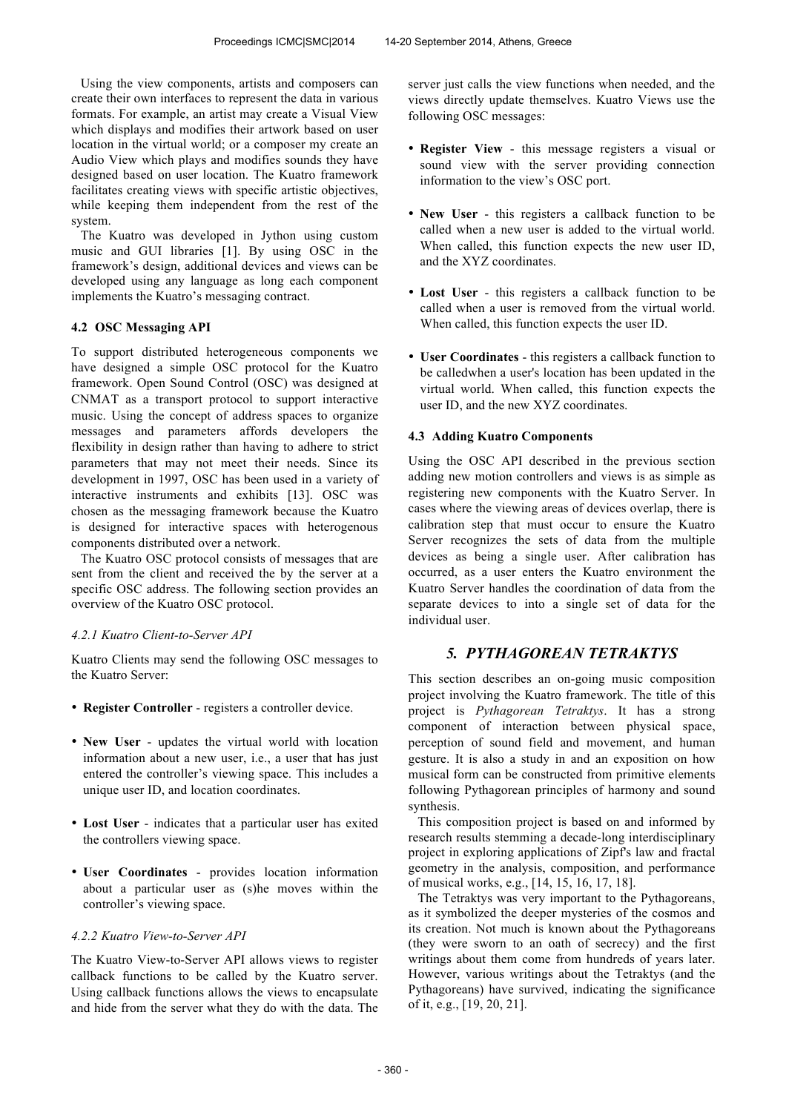Using the view components, artists and composers can create their own interfaces to represent the data in various formats. For example, an artist may create a Visual View which displays and modifies their artwork based on user location in the virtual world; or a composer my create an Audio View which plays and modifies sounds they have designed based on user location. The Kuatro framework facilitates creating views with specific artistic objectives, while keeping them independent from the rest of the system.

The Kuatro was developed in Jython using custom music and GUI libraries [1]. By using OSC in the framework's design, additional devices and views can be developed using any language as long each component implements the Kuatro's messaging contract.

## **4.2 OSC Messaging API**

To support distributed heterogeneous components we have designed a simple OSC protocol for the Kuatro framework. Open Sound Control (OSC) was designed at CNMAT as a transport protocol to support interactive music. Using the concept of address spaces to organize messages and parameters affords developers the flexibility in design rather than having to adhere to strict parameters that may not meet their needs. Since its development in 1997, OSC has been used in a variety of interactive instruments and exhibits [13]. OSC was chosen as the messaging framework because the Kuatro is designed for interactive spaces with heterogenous components distributed over a network.

The Kuatro OSC protocol consists of messages that are sent from the client and received the by the server at a specific OSC address. The following section provides an overview of the Kuatro OSC protocol.

#### *4.2.1 Kuatro Client-to-Server API*

Kuatro Clients may send the following OSC messages to the Kuatro Server:

- **Register Controller** registers a controller device.
- **New User** updates the virtual world with location information about a new user, i.e., a user that has just entered the controller's viewing space. This includes a unique user ID, and location coordinates.
- **Lost User** indicates that a particular user has exited the controllers viewing space.
- **User Coordinates** provides location information about a particular user as (s)he moves within the controller's viewing space.

#### *4.2.2 Kuatro View-to-Server API*

The Kuatro View-to-Server API allows views to register callback functions to be called by the Kuatro server. Using callback functions allows the views to encapsulate and hide from the server what they do with the data. The server just calls the view functions when needed, and the views directly update themselves. Kuatro Views use the following OSC messages:

- **Register View** this message registers a visual or sound view with the server providing connection information to the view's OSC port.
- **New User** this registers a callback function to be called when a new user is added to the virtual world. When called, this function expects the new user ID and the XYZ coordinates.
- **Lost User** this registers a callback function to be called when a user is removed from the virtual world. When called, this function expects the user ID.
- **User Coordinates** this registers a callback function to be calledwhen a user's location has been updated in the virtual world. When called, this function expects the user ID, and the new XYZ coordinates.

#### **4.3 Adding Kuatro Components**

Using the OSC API described in the previous section adding new motion controllers and views is as simple as registering new components with the Kuatro Server. In cases where the viewing areas of devices overlap, there is calibration step that must occur to ensure the Kuatro Server recognizes the sets of data from the multiple devices as being a single user. After calibration has occurred, as a user enters the Kuatro environment the Kuatro Server handles the coordination of data from the separate devices to into a single set of data for the individual user.

# *5. PYTHAGOREAN TETRAKTYS*

This section describes an on-going music composition project involving the Kuatro framework. The title of this project is *Pythagorean Tetraktys*. It has a strong component of interaction between physical space, perception of sound field and movement, and human gesture. It is also a study in and an exposition on how musical form can be constructed from primitive elements following Pythagorean principles of harmony and sound synthesis.

This composition project is based on and informed by research results stemming a decade-long interdisciplinary project in exploring applications of Zipf's law and fractal geometry in the analysis, composition, and performance of musical works, e.g., [14, 15, 16, 17, 18].

The Tetraktys was very important to the Pythagoreans, as it symbolized the deeper mysteries of the cosmos and its creation. Not much is known about the Pythagoreans (they were sworn to an oath of secrecy) and the first writings about them come from hundreds of years later. However, various writings about the Tetraktys (and the Pythagoreans) have survived, indicating the significance of it, e.g., [19, 20, 21].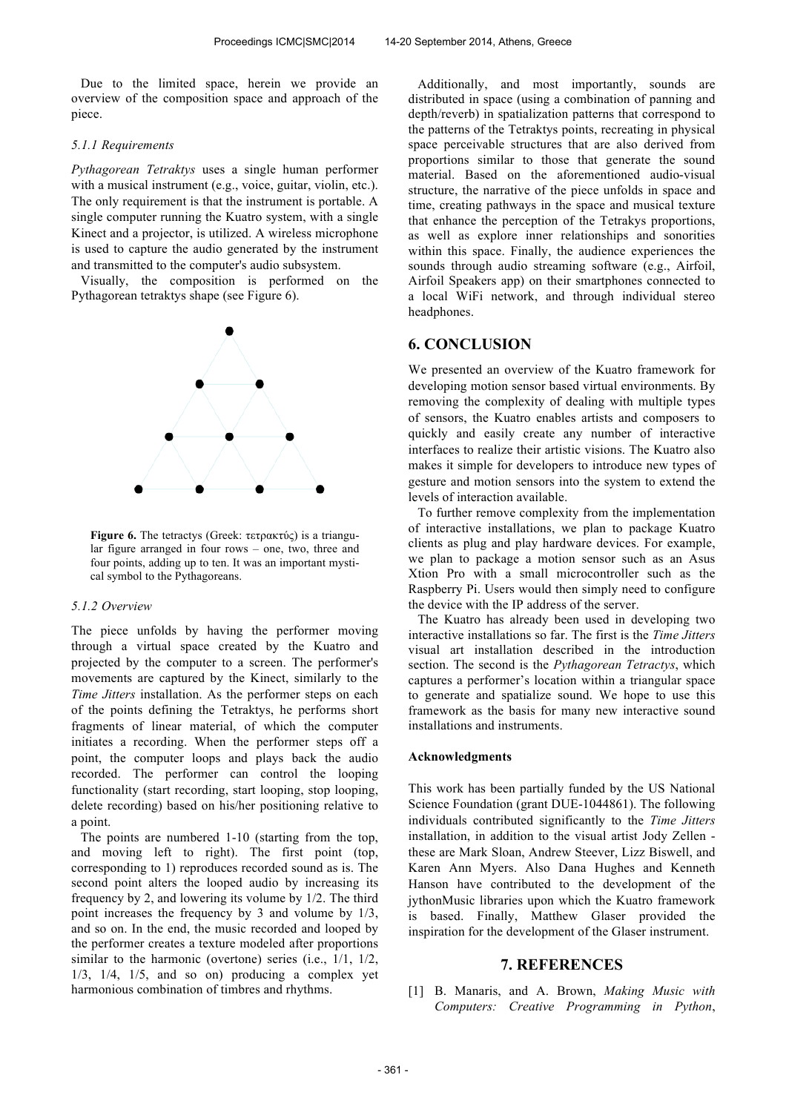Due to the limited space, herein we provide an overview of the composition space and approach of the piece.

#### *5.1.1 Requirements*

*Pythagorean Tetraktys* uses a single human performer with a musical instrument (e.g., voice, guitar, violin, etc.). The only requirement is that the instrument is portable. A single computer running the Kuatro system, with a single Kinect and a projector, is utilized. A wireless microphone is used to capture the audio generated by the instrument and transmitted to the computer's audio subsystem.

Visually, the composition is performed on the Pythagorean tetraktys shape (see Figure 6).



**Figure 6.** The tetractys (Greek: τετρακτύς) is a triangular figure arranged in four rows – one, two, three and four points, adding up to ten. It was an important mystical symbol to the Pythagoreans.

#### *5.1.2 Overview*

The piece unfolds by having the performer moving through a virtual space created by the Kuatro and projected by the computer to a screen. The performer's movements are captured by the Kinect, similarly to the *Time Jitters* installation. As the performer steps on each of the points defining the Tetraktys, he performs short fragments of linear material, of which the computer initiates a recording. When the performer steps off a point, the computer loops and plays back the audio recorded. The performer can control the looping functionality (start recording, start looping, stop looping, delete recording) based on his/her positioning relative to a point.

The points are numbered 1-10 (starting from the top, and moving left to right). The first point (top, corresponding to 1) reproduces recorded sound as is. The second point alters the looped audio by increasing its frequency by 2, and lowering its volume by 1/2. The third point increases the frequency by 3 and volume by 1/3, and so on. In the end, the music recorded and looped by the performer creates a texture modeled after proportions similar to the harmonic (overtone) series (i.e., 1/1, 1/2,  $1/3$ ,  $1/4$ ,  $1/5$ , and so on) producing a complex yet harmonious combination of timbres and rhythms.

Additionally, and most importantly, sounds are distributed in space (using a combination of panning and depth/reverb) in spatialization patterns that correspond to the patterns of the Tetraktys points, recreating in physical space perceivable structures that are also derived from proportions similar to those that generate the sound material. Based on the aforementioned audio-visual structure, the narrative of the piece unfolds in space and time, creating pathways in the space and musical texture that enhance the perception of the Tetrakys proportions, as well as explore inner relationships and sonorities within this space. Finally, the audience experiences the sounds through audio streaming software (e.g., Airfoil, Airfoil Speakers app) on their smartphones connected to a local WiFi network, and through individual stereo headphones.

# **6. CONCLUSION**

We presented an overview of the Kuatro framework for developing motion sensor based virtual environments. By removing the complexity of dealing with multiple types of sensors, the Kuatro enables artists and composers to quickly and easily create any number of interactive interfaces to realize their artistic visions. The Kuatro also makes it simple for developers to introduce new types of gesture and motion sensors into the system to extend the levels of interaction available.

To further remove complexity from the implementation of interactive installations, we plan to package Kuatro clients as plug and play hardware devices. For example, we plan to package a motion sensor such as an Asus Xtion Pro with a small microcontroller such as the Raspberry Pi. Users would then simply need to configure the device with the IP address of the server.

The Kuatro has already been used in developing two interactive installations so far. The first is the *Time Jitters* visual art installation described in the introduction section. The second is the *Pythagorean Tetractys*, which captures a performer's location within a triangular space to generate and spatialize sound. We hope to use this framework as the basis for many new interactive sound installations and instruments.

#### **Acknowledgments**

This work has been partially funded by the US National Science Foundation (grant DUE-1044861). The following individuals contributed significantly to the *Time Jitters* installation, in addition to the visual artist Jody Zellen these are Mark Sloan, Andrew Steever, Lizz Biswell, and Karen Ann Myers. Also Dana Hughes and Kenneth Hanson have contributed to the development of the jythonMusic libraries upon which the Kuatro framework is based. Finally, Matthew Glaser provided the inspiration for the development of the Glaser instrument.

## **7. REFERENCES**

[1] B. Manaris, and A. Brown, *Making Music with Computers: Creative Programming in Python*,